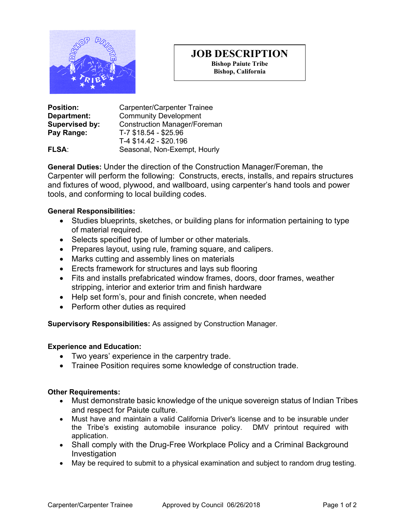

# **JOB DESCRIPTION**

**Bishop Paiute Tribe Bishop, California**

| <b>Position:</b> | <b>Carpenter/Carpenter Trainee</b>  |  |  |
|------------------|-------------------------------------|--|--|
| Department:      | <b>Community Development</b>        |  |  |
| Supervised by:   | <b>Construction Manager/Foreman</b> |  |  |
| Pay Range:       | T-7 \$18.54 - \$25.96               |  |  |
|                  | T-4 \$14.42 - \$20.196              |  |  |
| <b>FLSA:</b>     | Seasonal, Non-Exempt, Hourly        |  |  |

**General Duties:** Under the direction of the Construction Manager/Foreman, the Carpenter will perform the following: Constructs, erects, installs, and repairs structures and fixtures of wood, plywood, and wallboard, using carpenter's hand tools and power tools, and conforming to local building codes.

## **General Responsibilities:**

- Studies blueprints, sketches, or building plans for information pertaining to type of material required.
- Selects specified type of lumber or other materials.
- Prepares layout, using rule, framing square, and calipers.
- Marks cutting and assembly lines on materials
- Erects framework for structures and lays sub flooring
- Fits and installs prefabricated window frames, doors, door frames, weather stripping, interior and exterior trim and finish hardware
- Help set form's, pour and finish concrete, when needed
- Perform other duties as required

**Supervisory Responsibilities:** As assigned by Construction Manager.

### **Experience and Education:**

- Two years' experience in the carpentry trade.
- Trainee Position requires some knowledge of construction trade.

### **Other Requirements:**

- Must demonstrate basic knowledge of the unique sovereign status of Indian Tribes and respect for Paiute culture.
- Must have and maintain a valid California Driver's license and to be insurable under the Tribe's existing automobile insurance policy. DMV printout required with application.
- Shall comply with the Drug-Free Workplace Policy and a Criminal Background Investigation
- May be required to submit to a physical examination and subject to random drug testing.